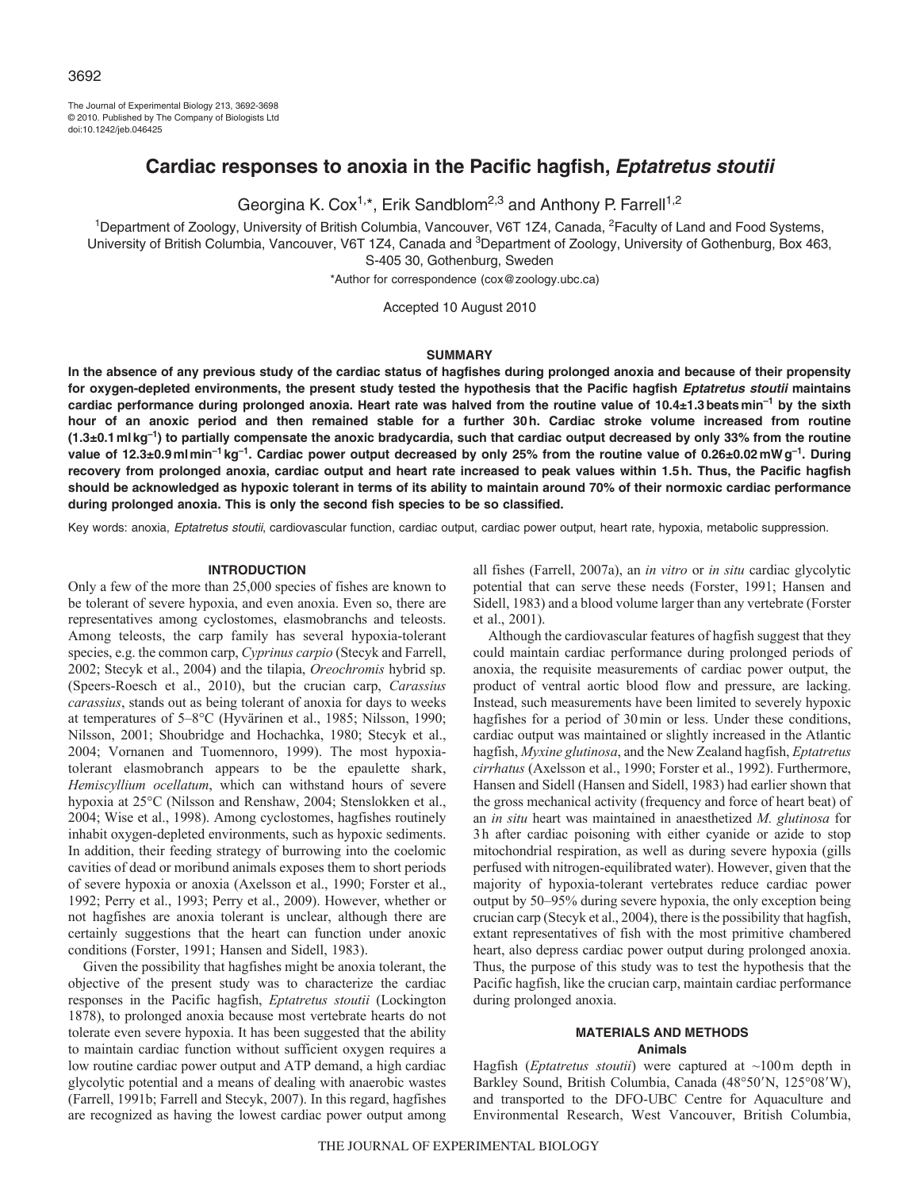The Journal of Experimental Biology 213, 3692-3698 © 2010. Published by The Company of Biologists Ltd doi:10.1242/jeb.046425

# **Cardiac responses to anoxia in the Pacific hagfish, Eptatretus stoutii**

Georgina K. Cox<sup>1,\*</sup>, Erik Sandblom<sup>2,3</sup> and Anthony P. Farrell<sup>1,2</sup>

<sup>1</sup>Department of Zoology, University of British Columbia, Vancouver, V6T 1Z4, Canada, <sup>2</sup>Faculty of Land and Food Systems, University of British Columbia, Vancouver, V6T 1Z4, Canada and <sup>3</sup>Department of Zoology, University of Gothenburg, Box 463, S-405 30, Gothenburg, Sweden

\*Author for correspondence (cox@zoology.ubc.ca)

Accepted 10 August 2010

#### **SUMMARY**

**In the absence of any previous study of the cardiac status of hagfishes during prolonged anoxia and because of their propensity for oxygen-depleted environments, the present study tested the hypothesis that the Pacific hagfish Eptatretus stoutii maintains cardiac performance during prolonged anoxia. Heart rate was halved from the routine value of 10.4±1.3beatsmin–1 by the sixth hour of an anoxic period and then remained stable for a further 30h. Cardiac stroke volume increased from routine (1.3±0.1mlkg–1) to partially compensate the anoxic bradycardia, such that cardiac output decreased by only 33% from the routine value of 12.3±0.9mlmin–1 kg–1. Cardiac power output decreased by only 25% from the routine value of 0.26±0.02mWg–1. During recovery from prolonged anoxia, cardiac output and heart rate increased to peak values within 1.5h. Thus, the Pacific hagfish should be acknowledged as hypoxic tolerant in terms of its ability to maintain around 70% of their normoxic cardiac performance during prolonged anoxia. This is only the second fish species to be so classified.**

Key words: anoxia, Eptatretus stoutii, cardiovascular function, cardiac output, cardiac power output, heart rate, hypoxia, metabolic suppression.

# **INTRODUCTION**

Only a few of the more than 25,000 species of fishes are known to be tolerant of severe hypoxia, and even anoxia. Even so, there are representatives among cyclostomes, elasmobranchs and teleosts. Among teleosts, the carp family has several hypoxia-tolerant species, e.g. the common carp, *Cyprinus carpio* (Stecyk and Farrell, 2002; Stecyk et al., 2004) and the tilapia, *Oreochromis* hybrid sp. (Speers-Roesch et al., 2010), but the crucian carp, *Carassius carassius*, stands out as being tolerant of anoxia for days to weeks at temperatures of 5–8°C (Hyvärinen et al., 1985; Nilsson, 1990; Nilsson, 2001; Shoubridge and Hochachka, 1980; Stecyk et al., 2004; Vornanen and Tuomennoro, 1999). The most hypoxiatolerant elasmobranch appears to be the epaulette shark, *Hemiscyllium ocellatum*, which can withstand hours of severe hypoxia at 25°C (Nilsson and Renshaw, 2004; Stenslokken et al., 2004; Wise et al., 1998). Among cyclostomes, hagfishes routinely inhabit oxygen-depleted environments, such as hypoxic sediments. In addition, their feeding strategy of burrowing into the coelomic cavities of dead or moribund animals exposes them to short periods of severe hypoxia or anoxia (Axelsson et al., 1990; Forster et al., 1992; Perry et al., 1993; Perry et al., 2009). However, whether or not hagfishes are anoxia tolerant is unclear, although there are certainly suggestions that the heart can function under anoxic conditions (Forster, 1991; Hansen and Sidell, 1983).

Given the possibility that hagfishes might be anoxia tolerant, the objective of the present study was to characterize the cardiac responses in the Pacific hagfish, *Eptatretus stoutii* (Lockington 1878), to prolonged anoxia because most vertebrate hearts do not tolerate even severe hypoxia. It has been suggested that the ability to maintain cardiac function without sufficient oxygen requires a low routine cardiac power output and ATP demand, a high cardiac glycolytic potential and a means of dealing with anaerobic wastes (Farrell, 1991b; Farrell and Stecyk, 2007). In this regard, hagfishes are recognized as having the lowest cardiac power output among all fishes (Farrell, 2007a), an *in vitro* or *in situ* cardiac glycolytic potential that can serve these needs (Forster, 1991; Hansen and Sidell, 1983) and a blood volume larger than any vertebrate (Forster et al., 2001).

Although the cardiovascular features of hagfish suggest that they could maintain cardiac performance during prolonged periods of anoxia, the requisite measurements of cardiac power output, the product of ventral aortic blood flow and pressure, are lacking. Instead, such measurements have been limited to severely hypoxic hagfishes for a period of 30min or less. Under these conditions, cardiac output was maintained or slightly increased in the Atlantic hagfish, *Myxine glutinosa*, and the New Zealand hagfish, *Eptatretus cirrhatus* (Axelsson et al., 1990; Forster et al., 1992). Furthermore, Hansen and Sidell (Hansen and Sidell, 1983) had earlier shown that the gross mechanical activity (frequency and force of heart beat) of an *in situ* heart was maintained in anaesthetized *M. glutinosa* for 3h after cardiac poisoning with either cyanide or azide to stop mitochondrial respiration, as well as during severe hypoxia (gills perfused with nitrogen-equilibrated water). However, given that the majority of hypoxia-tolerant vertebrates reduce cardiac power output by 50–95% during severe hypoxia, the only exception being crucian carp (Stecyk et al., 2004), there is the possibility that hagfish, extant representatives of fish with the most primitive chambered heart, also depress cardiac power output during prolonged anoxia. Thus, the purpose of this study was to test the hypothesis that the Pacific hagfish, like the crucian carp, maintain cardiac performance during prolonged anoxia.

## **MATERIALS AND METHODS Animals**

Hagfish (*Eptatretus stoutii*) were captured at ~100m depth in Barkley Sound, British Columbia, Canada (48°50'N, 125°08'W), and transported to the DFO-UBC Centre for Aquaculture and Environmental Research, West Vancouver, British Columbia,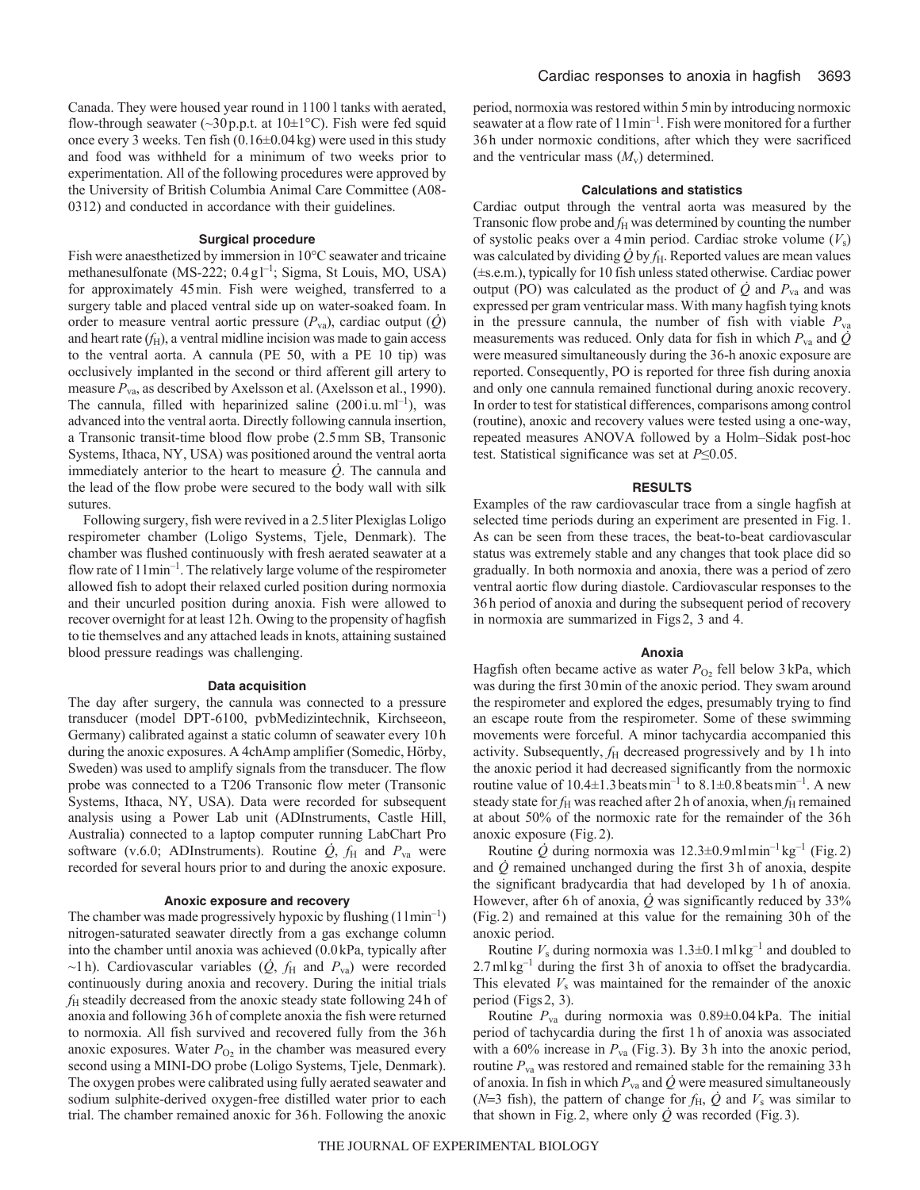Canada. They were housed year round in 1100 l tanks with aerated, flow-through seawater ( $\sim$ 30 p.p.t. at 10 $\pm$ 1°C). Fish were fed squid once every 3 weeks. Ten fish (0.16±0.04kg) were used in this study and food was withheld for a minimum of two weeks prior to experimentation. All of the following procedures were approved by the University of British Columbia Animal Care Committee (A08- 0312) and conducted in accordance with their guidelines.

# **Surgical procedure**

Fish were anaesthetized by immersion in 10°C seawater and tricaine methanesulfonate (MS-222; 0.4 gl<sup>-1</sup>; Sigma, St Louis, MO, USA) for approximately 45min. Fish were weighed, transferred to a surgery table and placed ventral side up on water-soaked foam. In order to measure ventral aortic pressure  $(P_{\text{va}})$ , cardiac output  $(Q)$ and heart rate  $(f<sub>H</sub>)$ , a ventral midline incision was made to gain access to the ventral aorta. A cannula (PE 50, with a PE 10 tip) was occlusively implanted in the second or third afferent gill artery to measure  $P_{va}$ , as described by Axelsson et al. (Axelsson et al., 1990). The cannula, filled with heparinized saline  $(200i.u.m<sup>-1</sup>)$ , was advanced into the ventral aorta. Directly following cannula insertion, a Transonic transit-time blood flow probe (2.5mm SB, Transonic Systems, Ithaca, NY, USA) was positioned around the ventral aorta immediately anterior to the heart to measure *Q*. The cannula and the lead of the flow probe were secured to the body wall with silk sutures.

Following surgery, fish were revived in a 2.5 liter Plexiglas Loligo respirometer chamber (Loligo Systems, Tjele, Denmark). The chamber was flushed continuously with fresh aerated seawater at a flow rate of 1lmin–1. The relatively large volume of the respirometer allowed fish to adopt their relaxed curled position during normoxia and their uncurled position during anoxia. Fish were allowed to recover overnight for at least 12h. Owing to the propensity of hagfish to tie themselves and any attached leads in knots, attaining sustained blood pressure readings was challenging.

### **Data acquisition**

The day after surgery, the cannula was connected to a pressure transducer (model DPT-6100, pvbMedizintechnik, Kirchseeon, Germany) calibrated against a static column of seawater every 10h during the anoxic exposures. A 4chAmp amplifier (Somedic, Hörby, Sweden) was used to amplify signals from the transducer. The flow probe was connected to a T206 Transonic flow meter (Transonic Systems, Ithaca, NY, USA). Data were recorded for subsequent analysis using a Power Lab unit (ADInstruments, Castle Hill, Australia) connected to a laptop computer running LabChart Pro software (v.6.0; ADInstruments). Routine  $\dot{Q}$ ,  $f_H$  and  $P_{va}$  were recorded for several hours prior to and during the anoxic exposure.

#### **Anoxic exposure and recovery**

The chamber was made progressively hypoxic by flushing  $(11min^{-1})$ nitrogen-saturated seawater directly from a gas exchange column into the chamber until anoxia was achieved (0.0kPa, typically after  $\sim$ 1h). Cardiovascular variables ( $\dot{Q}$ ,  $f_H$  and  $P_{\text{va}}$ ) were recorded continuously during anoxia and recovery. During the initial trials *f*<sup>H</sup> steadily decreased from the anoxic steady state following 24h of anoxia and following 36h of complete anoxia the fish were returned to normoxia. All fish survived and recovered fully from the 36h anoxic exposures. Water  $P_{\text{O}_2}$  in the chamber was measured every second using a MINI-DO probe (Loligo Systems, Tjele, Denmark). The oxygen probes were calibrated using fully aerated seawater and sodium sulphite-derived oxygen-free distilled water prior to each trial. The chamber remained anoxic for 36h. Following the anoxic

period, normoxia was restored within 5min by introducing normoxic seawater at a flow rate of  $11$ min<sup>-1</sup>. Fish were monitored for a further 36h under normoxic conditions, after which they were sacrificed and the ventricular mass  $(M_v)$  determined.

#### **Calculations and statistics**

Cardiac output through the ventral aorta was measured by the Transonic flow probe and  $f_H$  was determined by counting the number of systolic peaks over a 4min period. Cardiac stroke volume (*V*s) was calculated by dividing  $\dot{Q}$  by  $f_H$ . Reported values are mean values (±s.e.m.), typically for 10 fish unless stated otherwise. Cardiac power output (PO) was calculated as the product of  $\dot{Q}$  and  $P_{va}$  and was expressed per gram ventricular mass. With many hagfish tying knots in the pressure cannula, the number of fish with viable  $P_{va}$ measurements was reduced. Only data for fish in which  $P_{va}$  and  $\dot{Q}$ were measured simultaneously during the 36-h anoxic exposure are reported. Consequently, PO is reported for three fish during anoxia and only one cannula remained functional during anoxic recovery. In order to test for statistical differences, comparisons among control (routine), anoxic and recovery values were tested using a one-way, repeated measures ANOVA followed by a Holm–Sidak post-hoc test. Statistical significance was set at *P*≤0.05.

### **RESULTS**

Examples of the raw cardiovascular trace from a single hagfish at selected time periods during an experiment are presented in Fig.1. As can be seen from these traces, the beat-to-beat cardiovascular status was extremely stable and any changes that took place did so gradually. In both normoxia and anoxia, there was a period of zero ventral aortic flow during diastole. Cardiovascular responses to the 36h period of anoxia and during the subsequent period of recovery in normoxia are summarized in Figs2, 3 and 4.

#### **Anoxia**

Hagfish often became active as water  $P_{\text{O}_2}$  fell below 3 kPa, which was during the first 30min of the anoxic period. They swam around the respirometer and explored the edges, presumably trying to find an escape route from the respirometer. Some of these swimming movements were forceful. A minor tachycardia accompanied this activity. Subsequently,  $f_H$  decreased progressively and by 1h into the anoxic period it had decreased significantly from the normoxic routine value of  $10.4\pm1.3$  beats min<sup>-1</sup> to  $8.1\pm0.8$  beats min<sup>-1</sup>. A new steady state for  $f_H$  was reached after 2 h of anoxia, when  $f_H$  remained at about 50% of the normoxic rate for the remainder of the 36h anoxic exposure (Fig.2).

Routine *Q* during normoxia was 12.3±0.9mlmin–1 kg–1 (Fig.2) and  $\dot{Q}$  remained unchanged during the first 3h of anoxia, despite the significant bradycardia that had developed by 1h of anoxia. However, after 6h of anoxia,  $\dot{Q}$  was significantly reduced by 33% (Fig.2) and remained at this value for the remaining 30h of the anoxic period.

Routine  $V_s$  during normoxia was  $1.3\pm0.1$  ml kg<sup>-1</sup> and doubled to  $2.7$ ml kg<sup>-1</sup> during the first 3h of anoxia to offset the bradycardia. This elevated  $V_s$  was maintained for the remainder of the anoxic period (Figs2, 3).

Routine *P*va during normoxia was 0.89±0.04kPa. The initial period of tachycardia during the first 1h of anoxia was associated with a 60% increase in  $P_{va}$  (Fig. 3). By 3h into the anoxic period, routine  $P_{va}$  was restored and remained stable for the remaining 33h of anoxia. In fish in which  $P_{va}$  and  $\dot{Q}$  were measured simultaneously ( $N=3$  fish), the pattern of change for  $f_H$ ,  $\dot{Q}$  and  $V_s$  was similar to that shown in Fig.2, where only *Q* was recorded (Fig.3).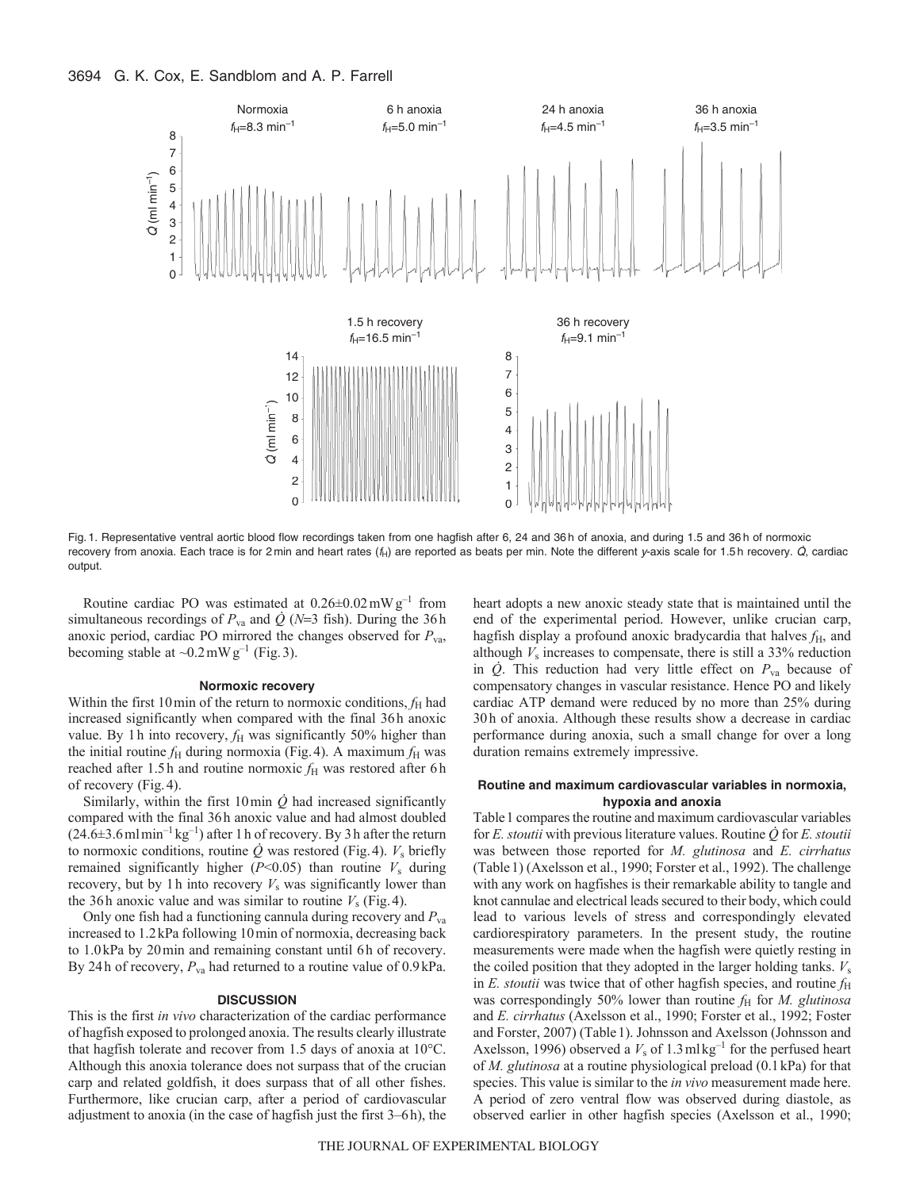# 3694 G. K. Cox, E. Sandblom and A. P. Farrell



Fig. 1. Representative ventral aortic blood flow recordings taken from one hagfish after 6, 24 and 36 h of anoxia, and during 1.5 and 36 h of normoxic recovery from anoxia. Each trace is for 2 min and heart rates (f<sub>H</sub>) are reported as beats per min. Note the different y-axis scale for 1.5 h recovery.  $\dot{Q}$ , cardiac output.

Routine cardiac PO was estimated at  $0.26 \pm 0.02$  mW g<sup>-1</sup> from simultaneous recordings of  $P_{va}$  and  $\dot{Q}$  (*N*=3 fish). During the 36h anoxic period, cardiac PO mirrored the changes observed for  $P_{\text{va}}$ , becoming stable at  $\sim 0.2 \text{ mW g}^{-1}$  (Fig. 3).

### **Normoxic recovery**

Within the first 10 min of the return to normoxic conditions,  $f_H$  had increased significantly when compared with the final 36h anoxic value. By 1h into recovery,  $f_H$  was significantly 50% higher than the initial routine  $f_H$  during normoxia (Fig. 4). A maximum  $f_H$  was reached after 1.5h and routine normoxic  $f<sub>H</sub>$  was restored after 6h of recovery (Fig.4).

Similarly, within the first  $10 \text{ min } \dot{Q}$  had increased significantly compared with the final 36h anoxic value and had almost doubled  $(24.6\pm3.6\,\text{ml}\,\text{min}^{-1}\,\text{kg}^{-1})$  after 1 h of recovery. By 3 h after the return to normoxic conditions, routine  $\dot{Q}$  was restored (Fig. 4).  $V_s$  briefly remained significantly higher  $(P<0.05)$  than routine  $V_s$  during recovery, but by 1h into recovery  $V_s$  was significantly lower than the 36h anoxic value and was similar to routine  $V_s$  (Fig. 4).

Only one fish had a functioning cannula during recovery and *P*va increased to 1.2kPa following 10min of normoxia, decreasing back to 1.0kPa by 20min and remaining constant until 6h of recovery. By 24h of recovery,  $P_{va}$  had returned to a routine value of 0.9 kPa.

# **DISCUSSION**

This is the first *in vivo* characterization of the cardiac performance of hagfish exposed to prolonged anoxia. The results clearly illustrate that hagfish tolerate and recover from 1.5 days of anoxia at 10°C. Although this anoxia tolerance does not surpass that of the crucian carp and related goldfish, it does surpass that of all other fishes. Furthermore, like crucian carp, after a period of cardiovascular adjustment to anoxia (in the case of hagfish just the first 3–6h), the heart adopts a new anoxic steady state that is maintained until the end of the experimental period. However, unlike crucian carp, hagfish display a profound anoxic bradycardia that halves  $f<sub>H</sub>$ , and although  $V_s$  increases to compensate, there is still a 33% reduction in  $\dot{Q}$ . This reduction had very little effect on  $P_{va}$  because of compensatory changes in vascular resistance. Hence PO and likely cardiac ATP demand were reduced by no more than 25% during 30h of anoxia. Although these results show a decrease in cardiac performance during anoxia, such a small change for over a long duration remains extremely impressive.

# **Routine and maximum cardiovascular variables in normoxia, hypoxia and anoxia**

Table1 compares the routine and maximum cardiovascular variables for *E. stoutii* with previous literature values. Routine *Q* for *E. stoutii* was between those reported for *M. glutinosa* and *E. cirrhatus* (Table1) (Axelsson et al., 1990; Forster et al., 1992). The challenge with any work on hagfishes is their remarkable ability to tangle and knot cannulae and electrical leads secured to their body, which could lead to various levels of stress and correspondingly elevated cardiorespiratory parameters. In the present study, the routine measurements were made when the hagfish were quietly resting in the coiled position that they adopted in the larger holding tanks. *V*<sup>s</sup> in  $E$ . *stoutii* was twice that of other hagfish species, and routine  $f<sub>H</sub>$ was correspondingly 50% lower than routine  $f<sub>H</sub>$  for *M. glutinosa* and *E. cirrhatus* (Axelsson et al., 1990; Forster et al., 1992; Foster and Forster, 2007) (Table1). Johnsson and Axelsson (Johnsson and Axelsson, 1996) observed a  $V_s$  of 1.3 mlkg<sup>-1</sup> for the perfused heart of *M. glutinosa* at a routine physiological preload (0.1kPa) for that species. This value is similar to the *in vivo* measurement made here. A period of zero ventral flow was observed during diastole, as observed earlier in other hagfish species (Axelsson et al., 1990;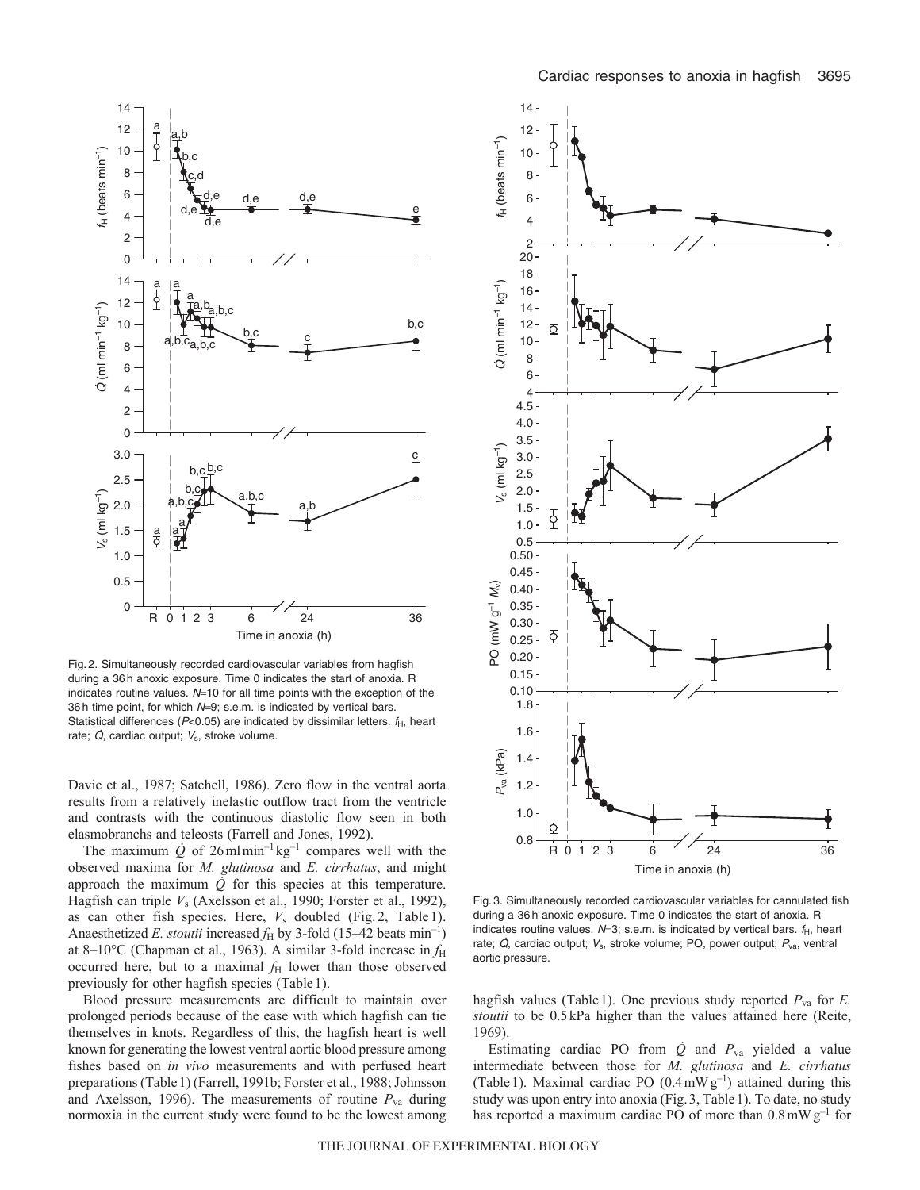

Fig. 2. Simultaneously recorded cardiovascular variables from hagfish during a 36 h anoxic exposure. Time 0 indicates the start of anoxia. R indicates routine values.  $N=10$  for all time points with the exception of the 36 h time point, for which  $N=9$ ; s.e.m. is indicated by vertical bars. Statistical differences ( $P<0.05$ ) are indicated by dissimilar letters.  $f_H$ , heart rate;  $\dot{Q}$ , cardiac output;  $V_s$ , stroke volume.

Davie et al., 1987; Satchell, 1986). Zero flow in the ventral aorta results from a relatively inelastic outflow tract from the ventricle and contrasts with the continuous diastolic flow seen in both elasmobranchs and teleosts (Farrell and Jones, 1992).

The maximum  $\dot{Q}$  of 26 mlmin<sup>-1</sup> kg<sup>-1</sup> compares well with the observed maxima for *M. glutinosa* and *E. cirrhatus*, and might approach the maximum  $\dot{Q}$  for this species at this temperature. Hagfish can triple *V*<sup>s</sup> (Axelsson et al., 1990; Forster et al., 1992), as can other fish species. Here, *V*<sup>s</sup> doubled (Fig. 2, Table 1). Anaesthetized *E. stoutii* increased  $f_H$  by 3-fold (15–42 beats min<sup>-1</sup>) at 8-10°C (Chapman et al., 1963). A similar 3-fold increase in  $f_H$ occurred here, but to a maximal  $f<sub>H</sub>$  lower than those observed previously for other hagfish species (Table1).

Blood pressure measurements are difficult to maintain over prolonged periods because of the ease with which hagfish can tie themselves in knots. Regardless of this, the hagfish heart is well known for generating the lowest ventral aortic blood pressure among fishes based on *in vivo* measurements and with perfused heart preparations (Table1) (Farrell, 1991b; Forster et al., 1988; Johnsson and Axelsson, 1996). The measurements of routine  $P_{va}$  during normoxia in the current study were found to be the lowest among



Fig. 3. Simultaneously recorded cardiovascular variables for cannulated fish during a 36 h anoxic exposure. Time 0 indicates the start of anoxia. R indicates routine values.  $N=3$ ; s.e.m. is indicated by vertical bars.  $f_H$ , heart rate;  $\dot{Q}$ , cardiac output;  $V_s$ , stroke volume; PO, power output;  $P_{va}$ , ventral aortic pressure.

hagfish values (Table1). One previous study reported *P*va for *E. stoutii* to be 0.5kPa higher than the values attained here (Reite, 1969).

Estimating cardiac PO from  $\dot{Q}$  and  $P_{va}$  yielded a value intermediate between those for *M. glutinosa* and *E. cirrhatus* (Table 1). Maximal cardiac PO  $(0.4 \text{ mW g}^{-1})$  attained during this study was upon entry into anoxia (Fig.3, Table1). To date, no study has reported a maximum cardiac PO of more than  $0.8 \text{ mW g}^{-1}$  for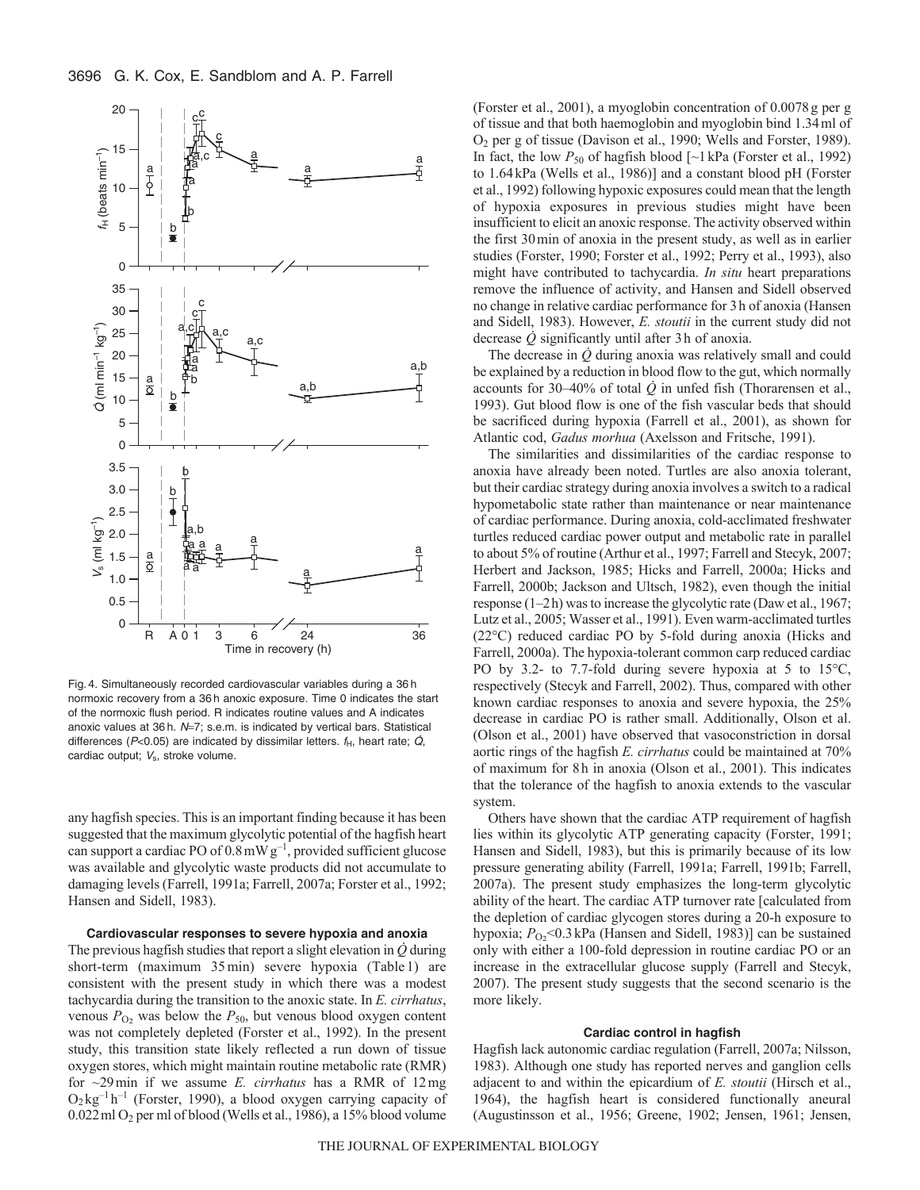

Fig. 4. Simultaneously recorded cardiovascular variables during a 36 h normoxic recovery from a 36 h anoxic exposure. Time 0 indicates the start of the normoxic flush period. R indicates routine values and A indicates anoxic values at 36 h.  $N=7$ ; s.e.m. is indicated by vertical bars. Statistical differences ( $P$ <0.05) are indicated by dissimilar letters.  $f_H$ , heart rate;  $\dot{Q}$ , cardiac output;  $V_s$ , stroke volume.

any hagfish species. This is an important finding because it has been suggested that the maximum glycolytic potential of the hagfish heart can support a cardiac PO of  $0.8 \text{ mW g}^{-1}$ , provided sufficient glucose was available and glycolytic waste products did not accumulate to damaging levels (Farrell, 1991a; Farrell, 2007a; Forster et al., 1992; Hansen and Sidell, 1983).

# **Cardiovascular responses to severe hypoxia and anoxia**

The previous hagfish studies that report a slight elevation in *Q* during short-term (maximum 35min) severe hypoxia (Table 1) are consistent with the present study in which there was a modest tachycardia during the transition to the anoxic state. In *E. cirrhatus*, venous  $P_{O_2}$  was below the  $P_{50}$ , but venous blood oxygen content was not completely depleted (Forster et al., 1992). In the present study, this transition state likely reflected a run down of tissue oxygen stores, which might maintain routine metabolic rate (RMR) for ~29min if we assume *E. cirrhatus* has a RMR of 12mg  $O_2$ kg<sup>-1</sup> h<sup>-1</sup> (Forster, 1990), a blood oxygen carrying capacity of 0.022ml O2 per ml of blood (Wells et al., 1986), a 15% blood volume (Forster et al., 2001), a myoglobin concentration of 0.0078g per g of tissue and that both haemoglobin and myoglobin bind 1.34ml of O2 per g of tissue (Davison et al., 1990; Wells and Forster, 1989). In fact, the low  $P_{50}$  of hagfish blood  $\left[\sim\right]$  kPa (Forster et al., 1992) to 1.64kPa (Wells et al., 1986)] and a constant blood pH (Forster et al., 1992) following hypoxic exposures could mean that the length of hypoxia exposures in previous studies might have been insufficient to elicit an anoxic response. The activity observed within the first 30min of anoxia in the present study, as well as in earlier studies (Forster, 1990; Forster et al., 1992; Perry et al., 1993), also might have contributed to tachycardia. *In situ* heart preparations remove the influence of activity, and Hansen and Sidell observed no change in relative cardiac performance for 3h of anoxia (Hansen and Sidell, 1983). However, *E. stoutii* in the current study did not decrease *Q* significantly until after 3h of anoxia.

The decrease in  $\dot{Q}$  during anoxia was relatively small and could be explained by a reduction in blood flow to the gut, which normally accounts for 30–40% of total  $\dot{Q}$  in unfed fish (Thorarensen et al., 1993). Gut blood flow is one of the fish vascular beds that should be sacrificed during hypoxia (Farrell et al., 2001), as shown for Atlantic cod, *Gadus morhua* (Axelsson and Fritsche, 1991).

The similarities and dissimilarities of the cardiac response to anoxia have already been noted. Turtles are also anoxia tolerant, but their cardiac strategy during anoxia involves a switch to a radical hypometabolic state rather than maintenance or near maintenance of cardiac performance. During anoxia, cold-acclimated freshwater turtles reduced cardiac power output and metabolic rate in parallel to about 5% of routine (Arthur et al., 1997; Farrell and Stecyk, 2007; Herbert and Jackson, 1985; Hicks and Farrell, 2000a; Hicks and Farrell, 2000b; Jackson and Ultsch, 1982), even though the initial response (1–2h) was to increase the glycolytic rate (Daw et al., 1967; Lutz et al., 2005; Wasser et al., 1991). Even warm-acclimated turtles (22°C) reduced cardiac PO by 5-fold during anoxia (Hicks and Farrell, 2000a). The hypoxia-tolerant common carp reduced cardiac PO by 3.2- to 7.7-fold during severe hypoxia at 5 to 15°C, respectively (Stecyk and Farrell, 2002). Thus, compared with other known cardiac responses to anoxia and severe hypoxia, the 25% decrease in cardiac PO is rather small. Additionally, Olson et al. (Olson et al., 2001) have observed that vasoconstriction in dorsal aortic rings of the hagfish *E. cirrhatus* could be maintained at 70% of maximum for 8h in anoxia (Olson et al., 2001). This indicates that the tolerance of the hagfish to anoxia extends to the vascular system.

Others have shown that the cardiac ATP requirement of hagfish lies within its glycolytic ATP generating capacity (Forster, 1991; Hansen and Sidell, 1983), but this is primarily because of its low pressure generating ability (Farrell, 1991a; Farrell, 1991b; Farrell, 2007a). The present study emphasizes the long-term glycolytic ability of the heart. The cardiac ATP turnover rate [calculated from the depletion of cardiac glycogen stores during a 20-h exposure to hypoxia;  $P_{\text{O}_2}$ <0.3 kPa (Hansen and Sidell, 1983)] can be sustained only with either a 100-fold depression in routine cardiac PO or an increase in the extracellular glucose supply (Farrell and Stecyk, 2007). The present study suggests that the second scenario is the more likely.

#### **Cardiac control in hagfish**

Hagfish lack autonomic cardiac regulation (Farrell, 2007a; Nilsson, 1983). Although one study has reported nerves and ganglion cells adjacent to and within the epicardium of *E. stoutii* (Hirsch et al., 1964), the hagfish heart is considered functionally aneural (Augustinsson et al., 1956; Greene, 1902; Jensen, 1961; Jensen,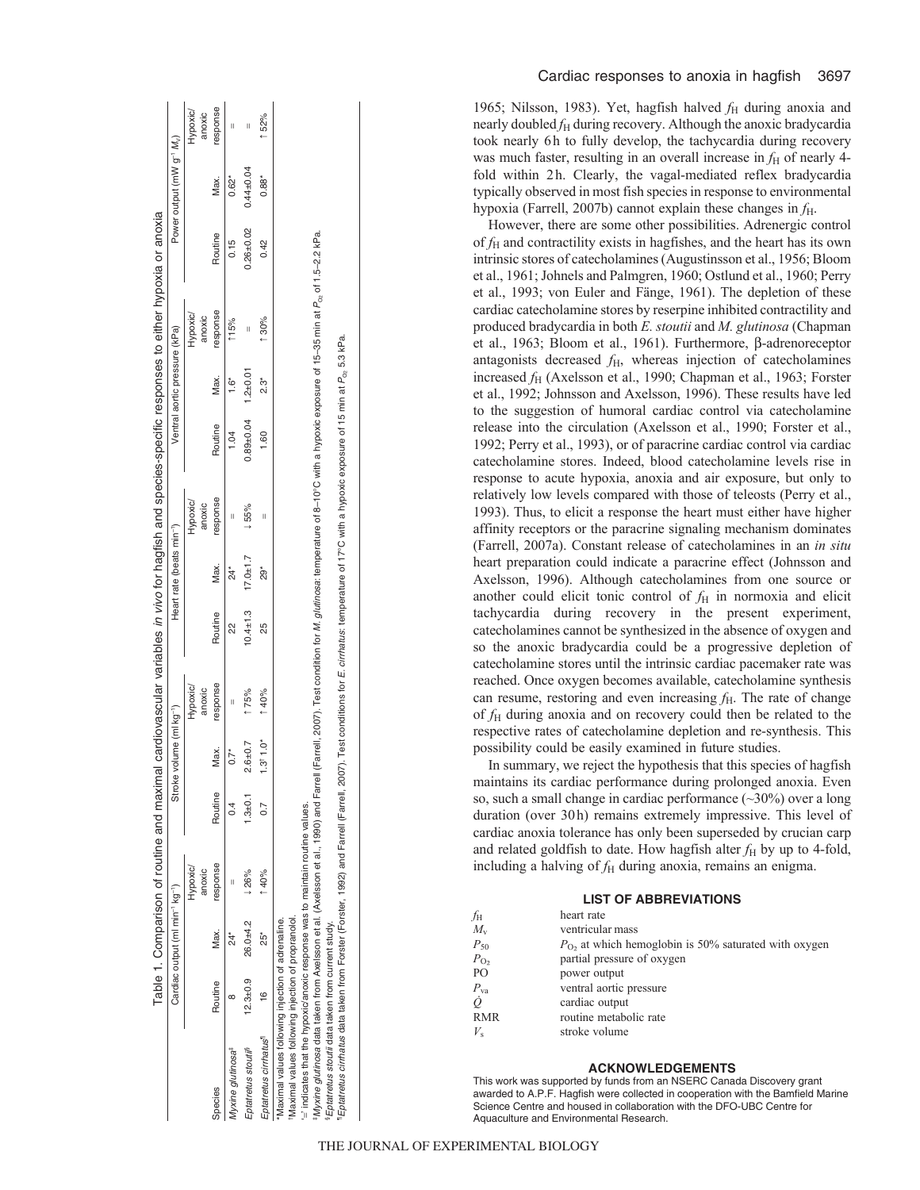|                                                                                                         |                |                                                         | Table 1. Comparison of routine and maximal cardiovascular variables in vivo for hagfish and species-specific responses to either hypoxia or anoxia |         |                         |                    |                |                                       |                    |               |                               |                                                                                                                                                          |               |                                                   |                    |
|---------------------------------------------------------------------------------------------------------|----------------|---------------------------------------------------------|----------------------------------------------------------------------------------------------------------------------------------------------------|---------|-------------------------|--------------------|----------------|---------------------------------------|--------------------|---------------|-------------------------------|----------------------------------------------------------------------------------------------------------------------------------------------------------|---------------|---------------------------------------------------|--------------------|
|                                                                                                         |                | Cardiac output (ml min <sup>-1</sup> kg <sup>-1</sup> ) |                                                                                                                                                    |         | Stroke volume (ml kg-1) |                    |                | Heart rate (beats min <sup>-1</sup> ) |                    |               | Ventral aortic pressure (kPa) |                                                                                                                                                          |               | Power output (mW g <sup>-1</sup> M <sub>v</sub> ) |                    |
|                                                                                                         |                |                                                         | Hypoxic/<br>anoxic                                                                                                                                 |         |                         | Hypoxic/<br>anoxic |                |                                       | Hypoxic/<br>anoxic |               |                               | Hypoxic/<br>anoxic                                                                                                                                       |               |                                                   | Hypoxic/<br>anoxic |
| Species                                                                                                 | Routine        | Max.                                                    | response                                                                                                                                           | Routine | Max.                    | esponse            | Routine        | Max.                                  | esponse            | Routine       | Max.                          | response                                                                                                                                                 | Routine       | Max.                                              | response           |
| fyxine glutinosa <sup>+</sup>                                                                           |                |                                                         |                                                                                                                                                    |         | $0.7*$                  |                    |                |                                       |                    | 1.04          | ة<br>=                        | 115%                                                                                                                                                     | 0.15          | $0.62*$                                           |                    |
| Eptatretus stoutii <sup>s</sup>                                                                         | $12.3 \pm 0.9$ | 26.0±4.2                                                | 126%                                                                                                                                               | $-5.01$ | $2.6 + 0.7$             | 175%               | $10.4 \pm 1.3$ | $17.0 + 1.7$                          | 155%               | $0.89 + 0.04$ | $1.2 + 0.01$                  | II                                                                                                                                                       | $0.26 + 0.02$ | $0.44 \pm 0.04$                                   |                    |
| Eptatretus cirrhatus                                                                                    | ۴              | 25*                                                     | 140%                                                                                                                                               |         | $1.3^{\dagger} 1.0^*$   | 140%               | 25             | ໍ່ສຸ                                  | Π                  | 1.60          | 2.3*                          | 130%                                                                                                                                                     | 0.42          | $0.88^*$                                          | 52%                |
| Maximal values following injection of propranolol.<br>Maximal values following injection of adrenaline. |                |                                                         |                                                                                                                                                    |         |                         |                    |                |                                       |                    |               |                               |                                                                                                                                                          |               |                                                   |                    |
| indicates that the hypoxic/anoxic response was to maintain routine values.                              |                |                                                         |                                                                                                                                                    |         |                         |                    |                |                                       |                    |               |                               |                                                                                                                                                          |               |                                                   |                    |
| fMyxine glutinosa data taken from Axelsson et al. (Axelsson et al., 1990) and Farrel                    |                |                                                         |                                                                                                                                                    |         |                         |                    |                |                                       |                    |               |                               | (Farrell, 2007). Test condition for <i>M. glutinosa</i> : temperature of 8–10°C with a hypoxic exposure of 15–35 min at P <sub>o</sub> , of 1.5–2.2 kPa. |               |                                                   |                    |

¶*Eptatretus cirrhatus* data taken from Forster (Forster, 1992) and Farrell (Farrell, 2007). Test conditions for *E. cirrhatus*: temperature of 17°C with a hypoxic exposure of 15 min at *P*O2 5.3 kPa. and Farrell (Farrell, 2007). Test conditions for *E. cirrhatus*: temperature of 17°C with a hypoxic exposure of 15 min at  $P_{\rm \odot}$  5.3 kPa cirrhatus data taken from Forster (Forster, 1992) Myxine glutinosa data taken from Axelsson et a<br>Eptatretus stoutii data taken from current study.<br>Eptatretus *cirrhatus* data taken from Forster (Fo §*Eptatretus stoutii* data taken from current study.

Cardiac responses to anoxia in hagfish 3697

1965; Nilsson, 1983). Yet, hagfish halved  $f_H$  during anoxia and nearly doubled  $f_H$  during recovery. Although the anoxic bradycardia took nearly 6h to fully develop, the tachycardia during recovery was much faster, resulting in an overall increase in  $f<sub>H</sub>$  of nearly 4fold within 2h. Clearly, the vagal-mediated reflex bradycardia typically observed in most fish species in response to environmental hypoxia (Farrell, 2007b) cannot explain these changes in  $f_H$ .

However, there are some other possibilities. Adrenergic control of  $f_H$  and contractility exists in hagfishes, and the heart has its own intrinsic stores of catecholamines (Augustinsson et al., 1956; Bloom et al., 1961; Johnels and Palmgren, 1960; Ostlund et al., 1960; Perry et al., 1993; von Euler and Fänge, 1961). The depletion of these cardiac catecholamine stores by reserpine inhibited contractility and produced bradycardia in both *E. stoutii* and *M. glutinosa* (Chapman et al., 1963; Bloom et al., 1961). Furthermore, β-adrenoreceptor antagonists decreased  $f_H$ , whereas injection of catecholamines increased  $f_H$  (Axelsson et al., 1990; Chapman et al., 1963; Forster et al., 1992; Johnsson and Axelsson, 1996). These results have led to the suggestion of humoral cardiac control via catecholamine release into the circulation (Axelsson et al., 1990; Forster et al., 1992; Perry et al., 1993), or of paracrine cardiac control via cardiac catecholamine stores. Indeed, blood catecholamine levels rise in response to acute hypoxia, anoxia and air exposure, but only to relatively low levels compared with those of teleosts (Perry et al., 1993). Thus, to elicit a response the heart must either have higher affinity receptors or the paracrine signaling mechanism dominates (Farrell, 2007a). Constant release of catecholamines in an *in situ* heart preparation could indicate a paracrine effect (Johnsson and Axelsson, 1996). Although catecholamines from one source or another could elicit tonic control of  $f<sub>H</sub>$  in normoxia and elicit tachycardia during recovery in the present experiment, catecholamines cannot be synthesized in the absence of oxygen and so the anoxic bradycardia could be a progressive depletion of catecholamine stores until the intrinsic cardiac pacemaker rate was reached. Once oxygen becomes available, catecholamine synthesis can resume, restoring and even increasing  $f<sub>H</sub>$ . The rate of change of  $f_H$  during anoxia and on recovery could then be related to the respective rates of catecholamine depletion and re-synthesis. This possibility could be easily examined in future studies.

In summary, we reject the hypothesis that this species of hagfish maintains its cardiac performance during prolonged anoxia. Even so, such a small change in cardiac performance  $(\sim 30\%)$  over a long duration (over 30h) remains extremely impressive. This level of cardiac anoxia tolerance has only been superseded by crucian carp and related goldfish to date. How hagfish alter  $f_H$  by up to 4-fold, including a halving of  $f_H$  during anoxia, remains an enigma.

# **LIST OF ABBREVIATIONS**

| fн               | heart rate                                              |
|------------------|---------------------------------------------------------|
| $M_{\rm v}$      | ventricular mass                                        |
| $P_{50}$         | $PO$ , at which hemoglobin is 50% saturated with oxygen |
| $P_{\text{O}_2}$ | partial pressure of oxygen                              |
| PО               | power output                                            |
| $P_{\rm va}$     | ventral aortic pressure                                 |
| ġ                | cardiac output                                          |
| RMR              | routine metabolic rate                                  |
| $V_{\rm s}$      | stroke volume                                           |
|                  |                                                         |

# **ACKNOWLEDGEMENTS**

This work was supported by funds from an NSERC Canada Discovery grant awarded to A.P.F. Hagfish were collected in cooperation with the Bamfield Marine Science Centre and housed in collaboration with the DFO-UBC Centre for Aquaculture and Environmental Research.